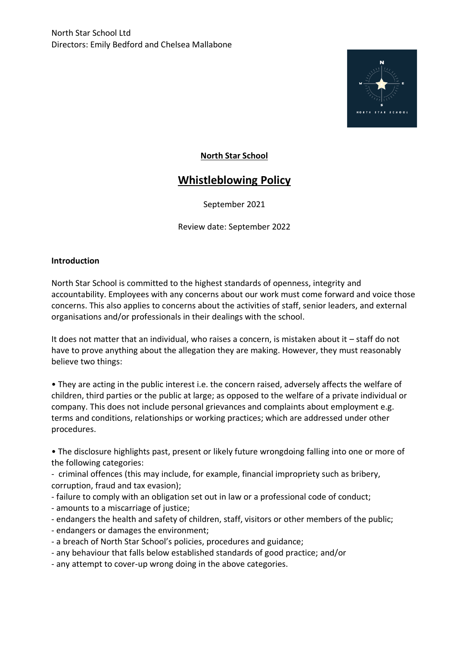

# **North Star School**

# **Whistleblowing Policy**

September 2021

Review date: September 2022

## **Introduction**

North Star School is committed to the highest standards of openness, integrity and accountability. Employees with any concerns about our work must come forward and voice those concerns. This also applies to concerns about the activities of staff, senior leaders, and external organisations and/or professionals in their dealings with the school.

It does not matter that an individual, who raises a concern, is mistaken about it – staff do not have to prove anything about the allegation they are making. However, they must reasonably believe two things:

• They are acting in the public interest i.e. the concern raised, adversely affects the welfare of children, third parties or the public at large; as opposed to the welfare of a private individual or company. This does not include personal grievances and complaints about employment e.g. terms and conditions, relationships or working practices; which are addressed under other procedures.

• The disclosure highlights past, present or likely future wrongdoing falling into one or more of the following categories:

- criminal offences (this may include, for example, financial impropriety such as bribery, corruption, fraud and tax evasion);

- failure to comply with an obligation set out in law or a professional code of conduct;
- amounts to a miscarriage of justice;
- endangers the health and safety of children, staff, visitors or other members of the public;
- endangers or damages the environment;
- a breach of North Star School's policies, procedures and guidance;
- any behaviour that falls below established standards of good practice; and/or
- any attempt to cover-up wrong doing in the above categories.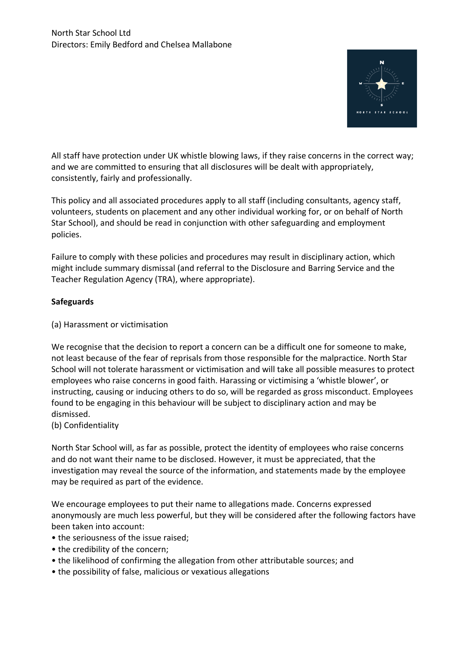

All staff have protection under UK whistle blowing laws, if they raise concerns in the correct way; and we are committed to ensuring that all disclosures will be dealt with appropriately, consistently, fairly and professionally.

This policy and all associated procedures apply to all staff (including consultants, agency staff, volunteers, students on placement and any other individual working for, or on behalf of North Star School), and should be read in conjunction with other safeguarding and employment policies.

Failure to comply with these policies and procedures may result in disciplinary action, which might include summary dismissal (and referral to the Disclosure and Barring Service and the Teacher Regulation Agency (TRA), where appropriate).

# **Safeguards**

(a) Harassment or victimisation

We recognise that the decision to report a concern can be a difficult one for someone to make, not least because of the fear of reprisals from those responsible for the malpractice. North Star School will not tolerate harassment or victimisation and will take all possible measures to protect employees who raise concerns in good faith. Harassing or victimising a 'whistle blower', or instructing, causing or inducing others to do so, will be regarded as gross misconduct. Employees found to be engaging in this behaviour will be subject to disciplinary action and may be dismissed.

(b) Confidentiality

North Star School will, as far as possible, protect the identity of employees who raise concerns and do not want their name to be disclosed. However, it must be appreciated, that the investigation may reveal the source of the information, and statements made by the employee may be required as part of the evidence.

We encourage employees to put their name to allegations made. Concerns expressed anonymously are much less powerful, but they will be considered after the following factors have been taken into account:

- the seriousness of the issue raised;
- the credibility of the concern;
- the likelihood of confirming the allegation from other attributable sources; and
- the possibility of false, malicious or vexatious allegations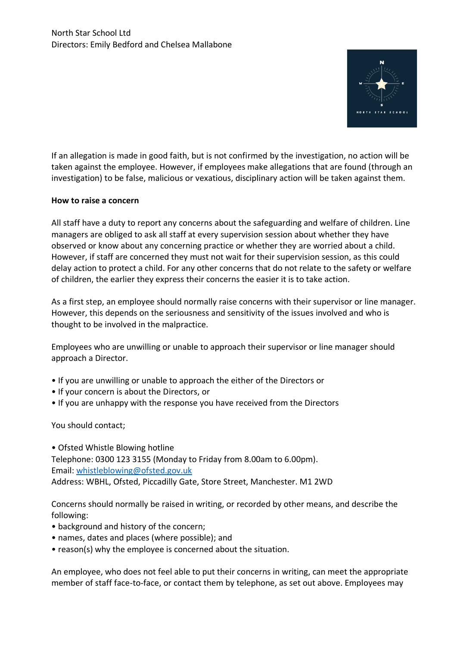

If an allegation is made in good faith, but is not confirmed by the investigation, no action will be taken against the employee. However, if employees make allegations that are found (through an investigation) to be false, malicious or vexatious, disciplinary action will be taken against them.

## **How to raise a concern**

All staff have a duty to report any concerns about the safeguarding and welfare of children. Line managers are obliged to ask all staff at every supervision session about whether they have observed or know about any concerning practice or whether they are worried about a child. However, if staff are concerned they must not wait for their supervision session, as this could delay action to protect a child. For any other concerns that do not relate to the safety or welfare of children, the earlier they express their concerns the easier it is to take action.

As a first step, an employee should normally raise concerns with their supervisor or line manager. However, this depends on the seriousness and sensitivity of the issues involved and who is thought to be involved in the malpractice.

Employees who are unwilling or unable to approach their supervisor or line manager should approach a Director.

- If you are unwilling or unable to approach the either of the Directors or
- If your concern is about the Directors, or
- If you are unhappy with the response you have received from the Directors

You should contact;

• Ofsted Whistle Blowing hotline Telephone: 0300 123 3155 (Monday to Friday from 8.00am to 6.00pm). Email: [whistleblowing@ofsted.gov.uk](mailto:whistleblowing@ofsted.gov.uk) Address: WBHL, Ofsted, Piccadilly Gate, Store Street, Manchester. M1 2WD

Concerns should normally be raised in writing, or recorded by other means, and describe the following:

- background and history of the concern;
- names, dates and places (where possible); and
- reason(s) why the employee is concerned about the situation.

An employee, who does not feel able to put their concerns in writing, can meet the appropriate member of staff face-to-face, or contact them by telephone, as set out above. Employees may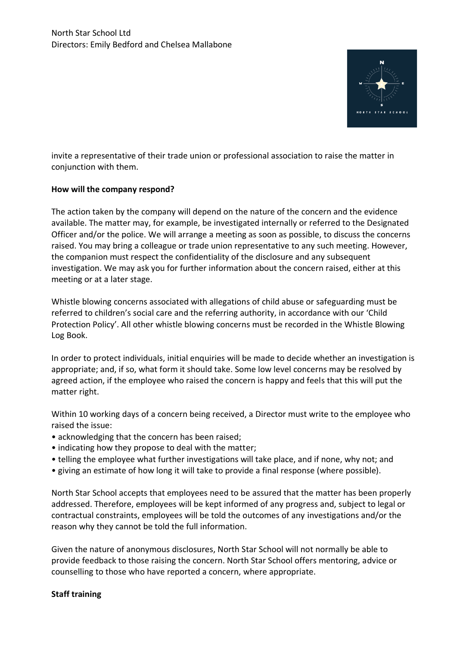

invite a representative of their trade union or professional association to raise the matter in conjunction with them.

## **How will the company respond?**

The action taken by the company will depend on the nature of the concern and the evidence available. The matter may, for example, be investigated internally or referred to the Designated Officer and/or the police. We will arrange a meeting as soon as possible, to discuss the concerns raised. You may bring a colleague or trade union representative to any such meeting. However, the companion must respect the confidentiality of the disclosure and any subsequent investigation. We may ask you for further information about the concern raised, either at this meeting or at a later stage.

Whistle blowing concerns associated with allegations of child abuse or safeguarding must be referred to children's social care and the referring authority, in accordance with our 'Child Protection Policy'. All other whistle blowing concerns must be recorded in the Whistle Blowing Log Book.

In order to protect individuals, initial enquiries will be made to decide whether an investigation is appropriate; and, if so, what form it should take. Some low level concerns may be resolved by agreed action, if the employee who raised the concern is happy and feels that this will put the matter right.

Within 10 working days of a concern being received, a Director must write to the employee who raised the issue:

- acknowledging that the concern has been raised;
- indicating how they propose to deal with the matter;
- telling the employee what further investigations will take place, and if none, why not; and
- giving an estimate of how long it will take to provide a final response (where possible).

North Star School accepts that employees need to be assured that the matter has been properly addressed. Therefore, employees will be kept informed of any progress and, subject to legal or contractual constraints, employees will be told the outcomes of any investigations and/or the reason why they cannot be told the full information.

Given the nature of anonymous disclosures, North Star School will not normally be able to provide feedback to those raising the concern. North Star School offers mentoring, advice or counselling to those who have reported a concern, where appropriate.

# **Staff training**